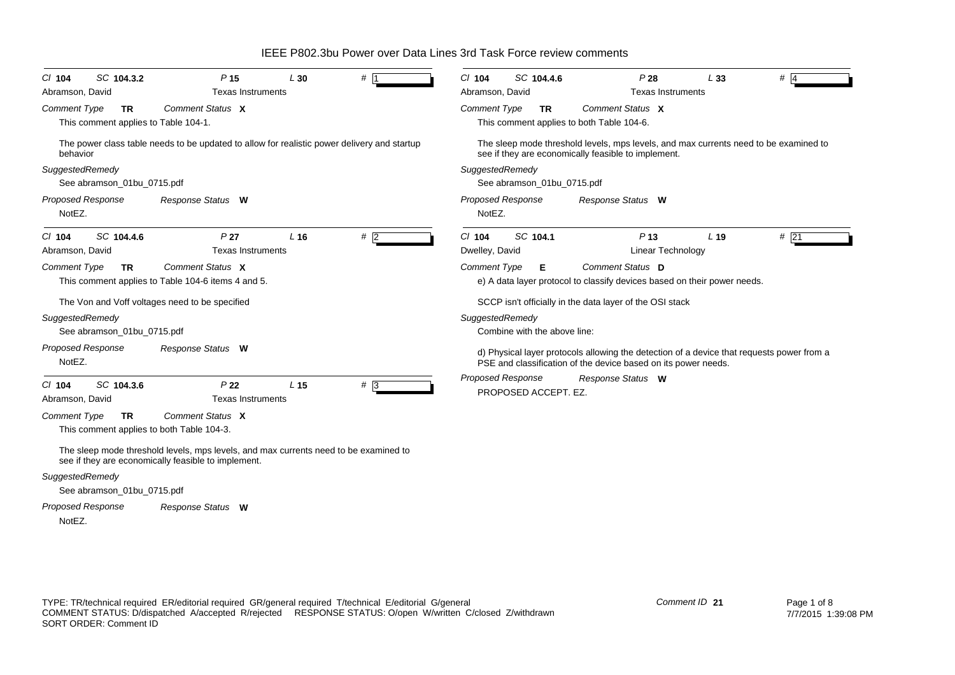*Proposed Response Cl* **104** *SC* **104.3.2** *P* **15** *L* **30** *#* 1*Comment Type* **TR** This comment applies to Table 104-1. The power class table needs to be updated to allow for realistic power delivery and startup behavior*SuggestedRemedy* See abramson\_01bu\_0715.pdf NotEZ.*Comment Status* **X***Response Status* **W** Abramson, David **Texas Instruments** *Proposed Response Cl* **104** *SC* **104.4.6** *P* **27** *L* **16** *#* 2*Comment Type* **TR** This comment applies to Table 104-6 items 4 and 5. The Von and Voff voltages need to be specified *SuggestedRemedy* See abramson\_01bu\_0715.pdf NotEZ.*Comment Status* **X***Response Status* **W** Abramson, David **Texas** Instruments *Proposed Response Cl* **104** *SC* **104.3.6** *P* **22** *L* **15** *#* 3*Comment Type* **TR** This comment applies to both Table 104-3. The sleep mode threshold levels, mps levels, and max currents need to be examined to see if they are economically feasible to implement. *SuggestedRemedy* See abramson\_01bu\_0715.pdf *Comment Status* **X***Response Status* **W** Abramson, David **Texas Instruments** *Proposed Response Cl* **104** *SC* **104.4.6** *P* **28** *L* **33** *#* 4*Comment Type* **TR** This comment applies to both Table 104-6. The sleep mode threshold levels, mps levels, and max currents need to be examined to see if they are economically feasible to implement. *SuggestedRemedy* See abramson\_01bu\_0715.pdf NotEZ.*Comment Status* **X***Response Status* **W** Abramson, David Texas Instruments *Proposed Response Cl* **104** *SC* **104.1** *P* **13** *L* **19** *#* 21 $#$  21 *Comment Type* **E** e) A data layer protocol to classify devices based on their power needs. SCCP isn't officially in the data layer of the OSI stack *SuggestedRemedy* Combine with the above line: d) Physical layer protocols allowing the detection of a device that requests power from a PSE and classification of the device based on its power needs. PROPOSED ACCEPT. EZ.*Comment Status* **D***Response Status* **W** Dwelley, David **Linear Technology** 

IEEE P802.3bu Power over Data Lines 3rd Task Force review comments

NotEZ.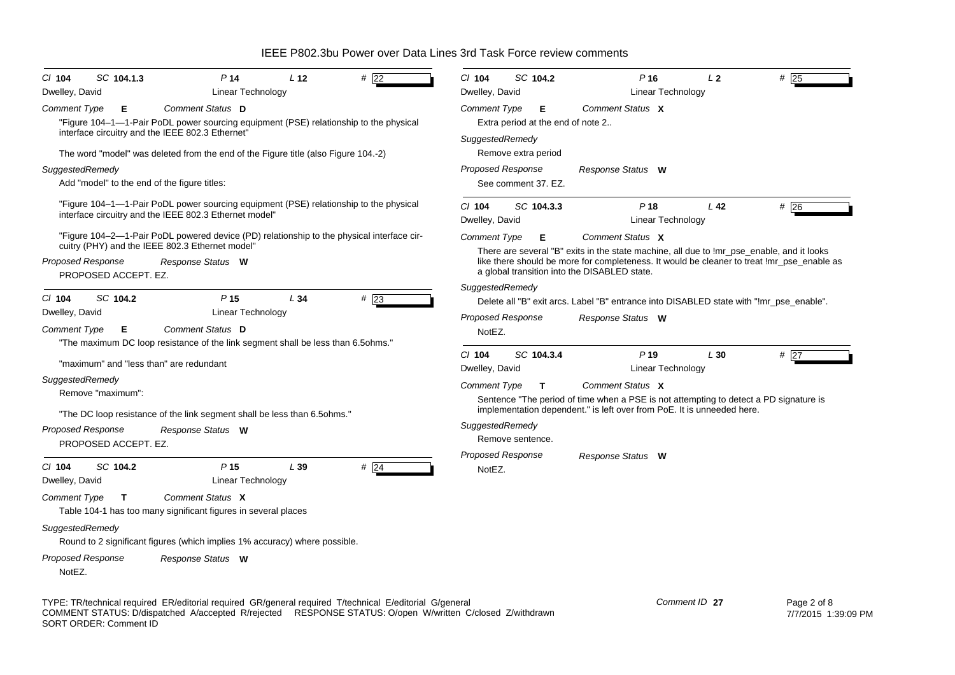| $Cl$ 104                   | SC 104.1.3                                       |                                                                                    | P <sub>14</sub>                      | L <sub>12</sub> | # $\sqrt{22}$                                                                                           | CI 104                             |                     | SC 104.2   | P <sub>16</sub>                                                                                                                            | L <sub>2</sub>    |                 | $#$ 25      |
|----------------------------|--------------------------------------------------|------------------------------------------------------------------------------------|--------------------------------------|-----------------|---------------------------------------------------------------------------------------------------------|------------------------------------|---------------------|------------|--------------------------------------------------------------------------------------------------------------------------------------------|-------------------|-----------------|-------------|
| Dwelley, David             |                                                  |                                                                                    | Linear Technology                    |                 |                                                                                                         | Dwelley, David                     |                     |            |                                                                                                                                            | Linear Technology |                 |             |
| <b>Comment Type</b>        | Е                                                | Comment Status D<br>interface circuitry and the IEEE 802.3 Ethernet"               |                                      |                 | "Figure 104-1--1-Pair PoDL power sourcing equipment (PSE) relationship to the physical                  | <b>Comment Type</b>                |                     | Е          | Comment Status X<br>Extra period at the end of note 2                                                                                      |                   |                 |             |
|                            |                                                  | The word "model" was deleted from the end of the Figure title (also Figure 104.-2) |                                      |                 |                                                                                                         | SuggestedRemedy                    | Remove extra period |            |                                                                                                                                            |                   |                 |             |
| SuggestedRemedy            |                                                  |                                                                                    |                                      |                 |                                                                                                         | Proposed Response                  |                     |            | Response Status W                                                                                                                          |                   |                 |             |
|                            |                                                  | Add "model" to the end of the figure titles:                                       |                                      |                 |                                                                                                         |                                    | See comment 37, EZ. |            |                                                                                                                                            |                   |                 |             |
|                            |                                                  | interface circuitry and the IEEE 802.3 Ethernet model"                             |                                      |                 | "Figure 104-1--1-Pair PoDL power sourcing equipment (PSE) relationship to the physical                  | CI 104<br>Dwelley, David           |                     | SC 104.3.3 | P <sub>18</sub>                                                                                                                            | Linear Technology | L <sub>42</sub> | #26         |
|                            |                                                  | cuitry (PHY) and the IEEE 802.3 Ethernet model"                                    |                                      |                 | "Figure 104–2—1-Pair PoDL powered device (PD) relationship to the physical interface cir-               | Comment Type                       |                     | Е          | Comment Status X<br>There are several "B" exits in the state machine, all due to !mr_pse_enable, and it looks                              |                   |                 |             |
|                            | Proposed Response<br>PROPOSED ACCEPT. EZ.        | Response Status W                                                                  |                                      |                 |                                                                                                         |                                    |                     |            | like there should be more for completeness. It would be cleaner to treat !mr_pse_enable as<br>a global transition into the DISABLED state. |                   |                 |             |
|                            |                                                  |                                                                                    |                                      |                 |                                                                                                         | SuggestedRemedy                    |                     |            |                                                                                                                                            |                   |                 |             |
| $CI$ 104<br>Dwelley, David | SC 104.2                                         |                                                                                    | P <sub>15</sub><br>Linear Technology | L34             | $#$ 23                                                                                                  |                                    |                     |            | Delete all "B" exit arcs. Label "B" entrance into DISABLED state with "!mr_pse_enable".                                                    |                   |                 |             |
| <b>Comment Type</b>        | Е                                                | Comment Status D                                                                   |                                      |                 |                                                                                                         | <b>Proposed Response</b><br>NotEZ. |                     |            | Response Status W                                                                                                                          |                   |                 |             |
|                            |                                                  | "The maximum DC loop resistance of the link segment shall be less than 6.5ohms."   |                                      |                 |                                                                                                         | $Cl$ 104                           |                     | SC 104.3.4 | P <sub>19</sub>                                                                                                                            |                   | L30             | #27         |
|                            |                                                  | "maximum" and "less than" are redundant                                            |                                      |                 |                                                                                                         | Dwelley, David                     |                     |            |                                                                                                                                            | Linear Technology |                 |             |
| SuggestedRemedy            | Remove "maximum":                                |                                                                                    |                                      |                 |                                                                                                         | <b>Comment Type</b>                |                     | T          | Comment Status X<br>Sentence "The period of time when a PSE is not attempting to detect a PD signature is                                  |                   |                 |             |
|                            |                                                  | "The DC loop resistance of the link segment shall be less than 6.5 ohms."          |                                      |                 |                                                                                                         |                                    |                     |            | implementation dependent." is left over from PoE. It is unneeded here.                                                                     |                   |                 |             |
|                            | <b>Proposed Response</b><br>PROPOSED ACCEPT. EZ. | Response Status W                                                                  |                                      |                 |                                                                                                         | SuggestedRemedy                    | Remove sentence.    |            |                                                                                                                                            |                   |                 |             |
|                            |                                                  |                                                                                    |                                      |                 |                                                                                                         | Proposed Response                  |                     |            | Response Status W                                                                                                                          |                   |                 |             |
| $Cl$ 104<br>Dwelley, David | SC 104.2                                         |                                                                                    | P <sub>15</sub><br>Linear Technology | L39             | $#$ 24                                                                                                  | NotEZ.                             |                     |            |                                                                                                                                            |                   |                 |             |
| <b>Comment Type</b>        | T                                                | Comment Status X<br>Table 104-1 has too many significant figures in several places |                                      |                 |                                                                                                         |                                    |                     |            |                                                                                                                                            |                   |                 |             |
|                            | SuggestedRemedy                                  | Round to 2 significant figures (which implies 1% accuracy) where possible.         |                                      |                 |                                                                                                         |                                    |                     |            |                                                                                                                                            |                   |                 |             |
| NotEZ.                     | <b>Proposed Response</b>                         | Response Status W                                                                  |                                      |                 |                                                                                                         |                                    |                     |            |                                                                                                                                            |                   |                 |             |
|                            |                                                  |                                                                                    |                                      |                 | TYPE: TR/technical required ER/editorial required GR/general required T/technical E/editorial G/general |                                    |                     |            |                                                                                                                                            | Comment ID 27     |                 | Page 2 of 8 |

COMMENT STATUS: D/dispatched A/accepted R/rejected RESPONSE STATUS: O/open W/written C/closed Z/withdrawn SORT ORDER: Comment ID

7/7/2015 1:39:09 PM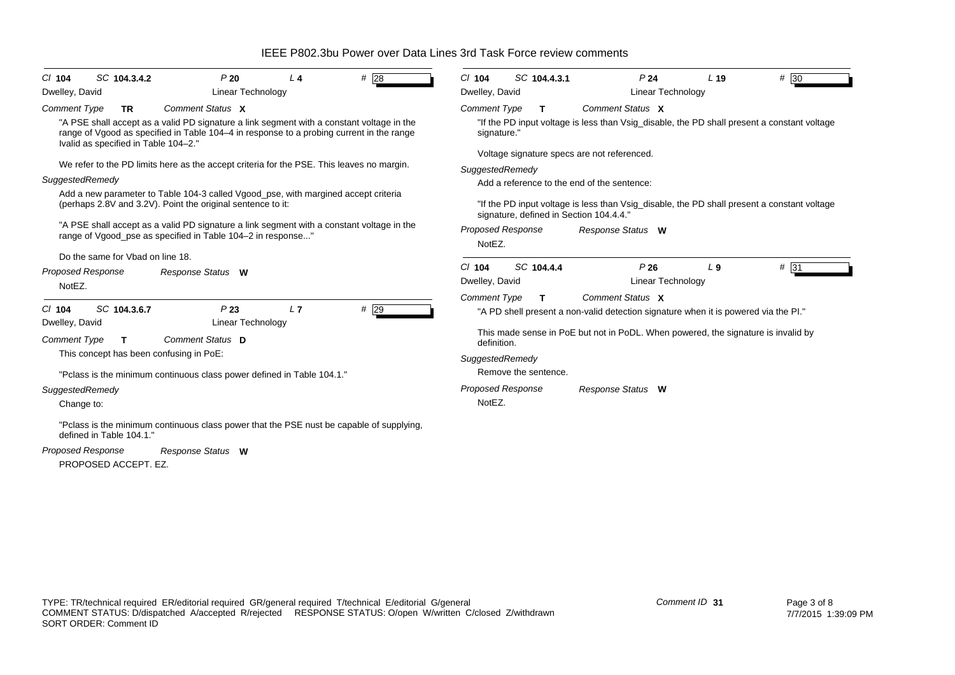| #28<br>SC 104.3.4.2<br>P20<br>$Cl$ 104<br>L <sub>4</sub><br>Dwelley, David<br>Linear Technology                                                                                                                                                                                                                                                                                                                                                                                                                                                                                                                                                         | # 30<br>SC 104.4.3.1<br>P <sub>24</sub><br>$CI$ 104<br>L <sub>19</sub><br>Dwelley, David<br>Linear Technology                                                                                                                                                                                                                                                                                                                                                           |  |  |  |  |  |
|---------------------------------------------------------------------------------------------------------------------------------------------------------------------------------------------------------------------------------------------------------------------------------------------------------------------------------------------------------------------------------------------------------------------------------------------------------------------------------------------------------------------------------------------------------------------------------------------------------------------------------------------------------|-------------------------------------------------------------------------------------------------------------------------------------------------------------------------------------------------------------------------------------------------------------------------------------------------------------------------------------------------------------------------------------------------------------------------------------------------------------------------|--|--|--|--|--|
| Comment Status X<br><b>Comment Type</b><br><b>TR</b><br>"A PSE shall accept as a valid PD signature a link segment with a constant voltage in the<br>range of Vgood as specified in Table 104–4 in response to a probing current in the range<br>Ivalid as specified in Table 104-2."<br>We refer to the PD limits here as the accept criteria for the PSE. This leaves no margin.<br>SuggestedRemedy<br>Add a new parameter to Table 104-3 called Vgood_pse, with margined accept criteria<br>(perhaps 2.8V and 3.2V). Point the original sentence to it:<br>"A PSE shall accept as a valid PD signature a link segment with a constant voltage in the | Comment Status X<br><b>Comment Type</b><br>T.<br>"If the PD input voltage is less than Vsig_disable, the PD shall present a constant voltage<br>signature."<br>Voltage signature specs are not referenced.<br>SuggestedRemedy<br>Add a reference to the end of the sentence:<br>"If the PD input voltage is less than Vsig_disable, the PD shall present a constant voltage<br>signature, defined in Section 104.4.4."<br><b>Proposed Response</b><br>Response Status W |  |  |  |  |  |
| range of Vgood_pse as specified in Table 104-2 in response"<br>Do the same for Vbad on line 18.<br><b>Proposed Response</b><br>Response Status W<br>NotEZ.                                                                                                                                                                                                                                                                                                                                                                                                                                                                                              | NotEZ.<br>SC 104.4.4<br>P26<br>L <sub>9</sub><br>$# \overline{31}$<br>$Cl$ 104<br>Dwelley, David<br><b>Linear Technology</b><br>Comment Status X<br><b>Comment Type</b><br>T                                                                                                                                                                                                                                                                                            |  |  |  |  |  |
| P23<br>L7<br>SC 104.3.6.7<br>$#$ 29<br>$CI$ 104<br>Dwelley, David<br>Linear Technology<br>Comment Status D<br><b>Comment Type</b><br>T<br>This concept has been confusing in PoE:<br>"Pclass is the minimum continuous class power defined in Table 104.1."<br>SuggestedRemedy                                                                                                                                                                                                                                                                                                                                                                          | "A PD shell present a non-valid detection signature when it is powered via the PI."<br>This made sense in PoE but not in PoDL. When powered, the signature is invalid by<br>definition.<br>SuggestedRemedy<br>Remove the sentence.<br><b>Proposed Response</b><br>Response Status W                                                                                                                                                                                     |  |  |  |  |  |
| Change to:<br>"Pclass is the minimum continuous class power that the PSE nust be capable of supplying,<br>defined in Table 104.1."<br><b>Proposed Response</b><br>Response Status W<br>PROPOSED ACCEPT. EZ.                                                                                                                                                                                                                                                                                                                                                                                                                                             | NotEZ.                                                                                                                                                                                                                                                                                                                                                                                                                                                                  |  |  |  |  |  |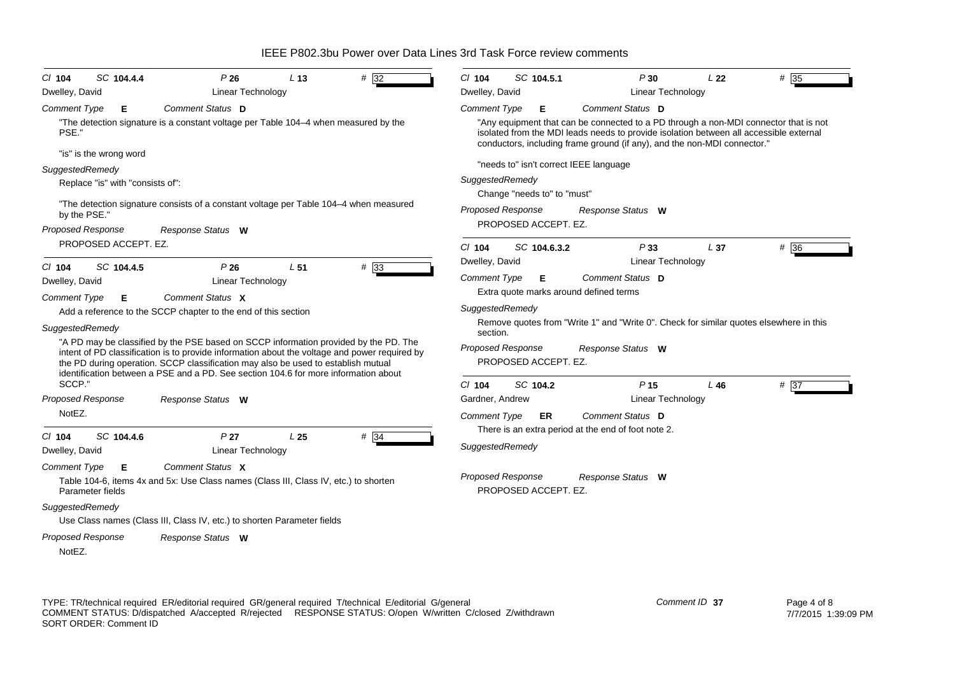| SC 104.4.4<br>P26<br>$# \sqrt{32}$<br>L <sub>13</sub><br>$CI$ 104                                                                                                                                                                                                                                                                                                 | SC 104.5.1<br>P30<br>L <sub>22</sub><br>$# \overline{35}$<br>$CI$ 104                                                                                                                                                                                      |  |  |  |  |  |  |  |
|-------------------------------------------------------------------------------------------------------------------------------------------------------------------------------------------------------------------------------------------------------------------------------------------------------------------------------------------------------------------|------------------------------------------------------------------------------------------------------------------------------------------------------------------------------------------------------------------------------------------------------------|--|--|--|--|--|--|--|
| Dwelley, David<br><b>Linear Technology</b>                                                                                                                                                                                                                                                                                                                        | Linear Technology<br>Dwelley, David                                                                                                                                                                                                                        |  |  |  |  |  |  |  |
| Comment Status D<br><b>Comment Type</b><br>Е                                                                                                                                                                                                                                                                                                                      | <b>Comment Type</b><br>Comment Status D<br>Е                                                                                                                                                                                                               |  |  |  |  |  |  |  |
| "The detection signature is a constant voltage per Table 104-4 when measured by the<br>PSE."                                                                                                                                                                                                                                                                      | "Any equipment that can be connected to a PD through a non-MDI connector that is not<br>isolated from the MDI leads needs to provide isolation between all accessible external<br>conductors, including frame ground (if any), and the non-MDI connector." |  |  |  |  |  |  |  |
| "is" is the wrong word                                                                                                                                                                                                                                                                                                                                            |                                                                                                                                                                                                                                                            |  |  |  |  |  |  |  |
| SuggestedRemedy                                                                                                                                                                                                                                                                                                                                                   | "needs to" isn't correct IEEE language                                                                                                                                                                                                                     |  |  |  |  |  |  |  |
| Replace "is" with "consists of":                                                                                                                                                                                                                                                                                                                                  | SuggestedRemedy                                                                                                                                                                                                                                            |  |  |  |  |  |  |  |
| "The detection signature consists of a constant voltage per Table 104–4 when measured<br>by the PSE."                                                                                                                                                                                                                                                             | Change "needs to" to "must"<br><b>Proposed Response</b><br>Response Status W                                                                                                                                                                               |  |  |  |  |  |  |  |
| <b>Proposed Response</b><br>Response Status W                                                                                                                                                                                                                                                                                                                     | PROPOSED ACCEPT. EZ.                                                                                                                                                                                                                                       |  |  |  |  |  |  |  |
| PROPOSED ACCEPT. EZ.                                                                                                                                                                                                                                                                                                                                              | #36<br>$CI$ 104<br>SC 104.6.3.2<br>P33<br>L <sub>37</sub><br>Linear Technology<br>Dwelley, David                                                                                                                                                           |  |  |  |  |  |  |  |
| #33<br>SC 104.4.5<br>P26<br>L <sub>51</sub><br>$CI$ 104                                                                                                                                                                                                                                                                                                           |                                                                                                                                                                                                                                                            |  |  |  |  |  |  |  |
| Dwelley, David<br><b>Linear Technology</b>                                                                                                                                                                                                                                                                                                                        | <b>Comment Type</b><br>Comment Status D<br>Е<br>Extra quote marks around defined terms                                                                                                                                                                     |  |  |  |  |  |  |  |
| Comment Status X<br><b>Comment Type</b><br>Е.                                                                                                                                                                                                                                                                                                                     |                                                                                                                                                                                                                                                            |  |  |  |  |  |  |  |
| Add a reference to the SCCP chapter to the end of this section                                                                                                                                                                                                                                                                                                    | SuggestedRemedy                                                                                                                                                                                                                                            |  |  |  |  |  |  |  |
| SuggestedRemedy                                                                                                                                                                                                                                                                                                                                                   | Remove quotes from "Write 1" and "Write 0". Check for similar quotes elsewhere in this<br>section.                                                                                                                                                         |  |  |  |  |  |  |  |
| "A PD may be classified by the PSE based on SCCP information provided by the PD. The<br>intent of PD classification is to provide information about the voltage and power required by<br>the PD during operation. SCCP classification may also be used to establish mutual<br>identification between a PSE and a PD. See section 104.6 for more information about | <b>Proposed Response</b><br>Response Status W<br>PROPOSED ACCEPT. EZ.                                                                                                                                                                                      |  |  |  |  |  |  |  |
| SCCP."                                                                                                                                                                                                                                                                                                                                                            | SC 104.2<br>P <sub>15</sub><br>$Cl$ 104<br># 37<br>L46                                                                                                                                                                                                     |  |  |  |  |  |  |  |
| <b>Proposed Response</b><br>Response Status W                                                                                                                                                                                                                                                                                                                     | Linear Technology<br>Gardner, Andrew                                                                                                                                                                                                                       |  |  |  |  |  |  |  |
| NotEZ.                                                                                                                                                                                                                                                                                                                                                            | Comment Status D<br><b>Comment Type</b><br>ER                                                                                                                                                                                                              |  |  |  |  |  |  |  |
| $# \overline{34}$<br>SC 104.4.6<br>P <sub>27</sub><br>L <sub>25</sub><br>$CI$ 104<br>Dwelley, David<br><b>Linear Technology</b>                                                                                                                                                                                                                                   | There is an extra period at the end of foot note 2.<br>SuggestedRemedy                                                                                                                                                                                     |  |  |  |  |  |  |  |
| Comment Status X<br><b>Comment Type</b><br>Е<br>Table 104-6, items 4x and 5x: Use Class names (Class III, Class IV, etc.) to shorten<br>Parameter fields                                                                                                                                                                                                          | Proposed Response<br>Response Status W<br>PROPOSED ACCEPT. EZ.                                                                                                                                                                                             |  |  |  |  |  |  |  |
| SuggestedRemedy<br>Use Class names (Class III, Class IV, etc.) to shorten Parameter fields                                                                                                                                                                                                                                                                        |                                                                                                                                                                                                                                                            |  |  |  |  |  |  |  |
|                                                                                                                                                                                                                                                                                                                                                                   |                                                                                                                                                                                                                                                            |  |  |  |  |  |  |  |
| Proposed Response<br>Response Status W<br>NotEZ.                                                                                                                                                                                                                                                                                                                  |                                                                                                                                                                                                                                                            |  |  |  |  |  |  |  |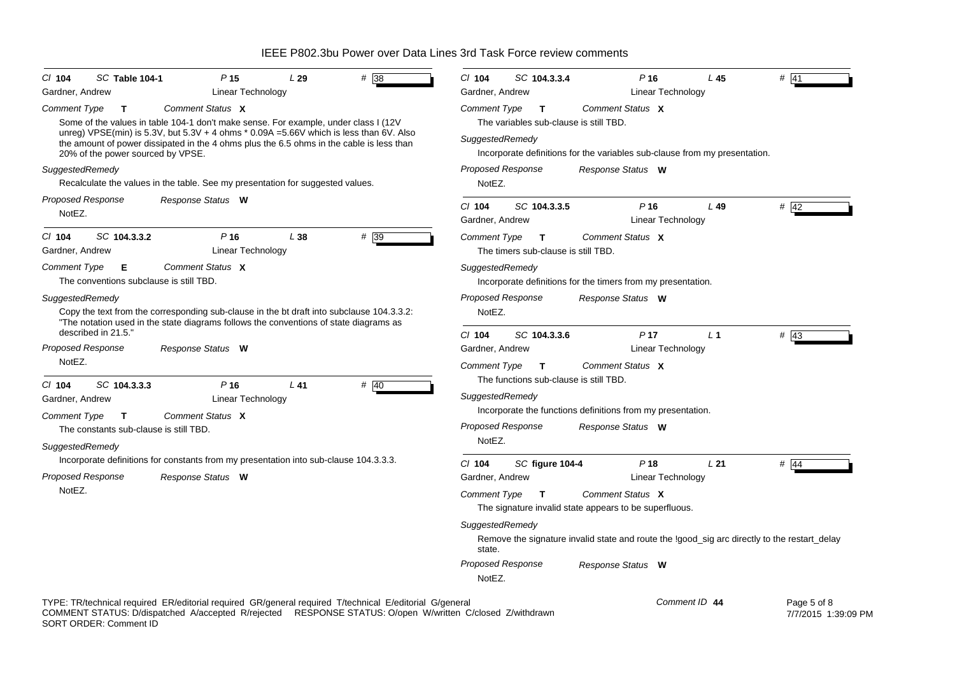| CI 104                      | SC Table 104-1                                         |                                                                                                                                                                                       | P <sub>15</sub>                    | L29    | # 38                                                                                                                                                                                                                 | C/ 104                      | SC 104.3.3.4                             |                   | $P$ 16                                                       | L <sub>45</sub>                                                                              | # 41                               |
|-----------------------------|--------------------------------------------------------|---------------------------------------------------------------------------------------------------------------------------------------------------------------------------------------|------------------------------------|--------|----------------------------------------------------------------------------------------------------------------------------------------------------------------------------------------------------------------------|-----------------------------|------------------------------------------|-------------------|--------------------------------------------------------------|----------------------------------------------------------------------------------------------|------------------------------------|
| Gardner, Andrew             |                                                        |                                                                                                                                                                                       | Linear Technology                  |        |                                                                                                                                                                                                                      | Gardner, Andrew             |                                          |                   | Linear Technology                                            |                                                                                              |                                    |
| <b>Comment Type</b>         | $\mathbf{T}$                                           | Comment Status X                                                                                                                                                                      |                                    |        |                                                                                                                                                                                                                      | <b>Comment Type</b>         | $\mathbf{T}$                             | Comment Status X  |                                                              |                                                                                              |                                    |
|                             |                                                        | Some of the values in table 104-1 don't make sense. For example, under class I (12V                                                                                                   |                                    |        |                                                                                                                                                                                                                      |                             | The variables sub-clause is still TBD.   |                   |                                                              |                                                                                              |                                    |
|                             | 20% of the power sourced by VPSE.                      | unreg) VPSE(min) is 5.3V, but 5.3V + 4 ohms $*$ 0.09A = 5.66V which is less than 6V. Also<br>the amount of power dissipated in the 4 ohms plus the 6.5 ohms in the cable is less than |                                    |        |                                                                                                                                                                                                                      | SuggestedRemedy             |                                          |                   |                                                              | Incorporate definitions for the variables sub-clause from my presentation.                   |                                    |
| SuggestedRemedy             |                                                        |                                                                                                                                                                                       |                                    |        |                                                                                                                                                                                                                      | <b>Proposed Response</b>    |                                          | Response Status W |                                                              |                                                                                              |                                    |
|                             |                                                        | Recalculate the values in the table. See my presentation for suggested values.                                                                                                        |                                    |        |                                                                                                                                                                                                                      | NotEZ.                      |                                          |                   |                                                              |                                                                                              |                                    |
| Proposed Response           |                                                        | Response Status W                                                                                                                                                                     |                                    |        |                                                                                                                                                                                                                      |                             |                                          |                   |                                                              |                                                                                              |                                    |
| NotEZ.                      |                                                        |                                                                                                                                                                                       |                                    |        |                                                                                                                                                                                                                      | $Cl$ 104<br>Gardner, Andrew | SC 104.3.3.5                             |                   | $P$ 16<br>Linear Technology                                  | L49                                                                                          | $#$ 42                             |
| $Cl$ 104                    |                                                        |                                                                                                                                                                                       |                                    |        |                                                                                                                                                                                                                      |                             |                                          |                   |                                                              |                                                                                              |                                    |
| Gardner, Andrew             | SC 104.3.3.2                                           |                                                                                                                                                                                       | $P$ 16<br><b>Linear Technology</b> | L38    | #39                                                                                                                                                                                                                  | <b>Comment Type</b>         | T<br>The timers sub-clause is still TBD. | Comment Status X  |                                                              |                                                                                              |                                    |
| <b>Comment Type</b>         | E.                                                     | Comment Status X                                                                                                                                                                      |                                    |        |                                                                                                                                                                                                                      | SuggestedRemedy             |                                          |                   |                                                              |                                                                                              |                                    |
|                             | The conventions subclause is still TBD.                |                                                                                                                                                                                       |                                    |        |                                                                                                                                                                                                                      |                             |                                          |                   | Incorporate definitions for the timers from my presentation. |                                                                                              |                                    |
| SuggestedRemedy             |                                                        |                                                                                                                                                                                       |                                    |        |                                                                                                                                                                                                                      | <b>Proposed Response</b>    |                                          | Response Status W |                                                              |                                                                                              |                                    |
|                             |                                                        | Copy the text from the corresponding sub-clause in the bt draft into subclause 104.3.3.2:<br>"The notation used in the state diagrams follows the conventions of state diagrams as    |                                    |        |                                                                                                                                                                                                                      | NotEZ.                      |                                          |                   |                                                              |                                                                                              |                                    |
|                             | described in 21.5."                                    |                                                                                                                                                                                       |                                    |        |                                                                                                                                                                                                                      | C/ 104                      | SC 104.3.3.6                             |                   | P <sub>17</sub>                                              | L <sub>1</sub>                                                                               | $#$ 43                             |
| <b>Proposed Response</b>    |                                                        | Response Status W                                                                                                                                                                     |                                    |        |                                                                                                                                                                                                                      | Gardner, Andrew             |                                          |                   | <b>Linear Technology</b>                                     |                                                                                              |                                    |
| NotEZ.                      |                                                        |                                                                                                                                                                                       |                                    |        |                                                                                                                                                                                                                      | Comment Type                | $\mathbf{T}$                             | Comment Status X  |                                                              |                                                                                              |                                    |
|                             |                                                        |                                                                                                                                                                                       |                                    |        |                                                                                                                                                                                                                      |                             | The functions sub-clause is still TBD.   |                   |                                                              |                                                                                              |                                    |
| $CI$ 104<br>Gardner, Andrew | SC 104.3.3.3                                           |                                                                                                                                                                                       | $P$ 16<br><b>Linear Technology</b> | $L$ 41 | # $ 40$                                                                                                                                                                                                              | SuggestedRemedy             |                                          |                   |                                                              |                                                                                              |                                    |
|                             |                                                        | Comment Status X                                                                                                                                                                      |                                    |        |                                                                                                                                                                                                                      |                             |                                          |                   | Incorporate the functions definitions from my presentation.  |                                                                                              |                                    |
| Comment Type                | $\mathbf{T}$<br>The constants sub-clause is still TBD. |                                                                                                                                                                                       |                                    |        |                                                                                                                                                                                                                      | Proposed Response           |                                          | Response Status W |                                                              |                                                                                              |                                    |
|                             |                                                        |                                                                                                                                                                                       |                                    |        |                                                                                                                                                                                                                      | NotEZ.                      |                                          |                   |                                                              |                                                                                              |                                    |
| SuggestedRemedy             |                                                        | Incorporate definitions for constants from my presentation into sub-clause 104.3.3.3.                                                                                                 |                                    |        |                                                                                                                                                                                                                      |                             |                                          |                   |                                                              |                                                                                              |                                    |
| Proposed Response           |                                                        |                                                                                                                                                                                       |                                    |        |                                                                                                                                                                                                                      | $CI$ 104                    | SC figure 104-4                          |                   | $P$ 18                                                       | L21                                                                                          | $#$ 44                             |
| NotEZ.                      |                                                        | Response Status W                                                                                                                                                                     |                                    |        |                                                                                                                                                                                                                      | Gardner, Andrew             |                                          |                   | Linear Technology                                            |                                                                                              |                                    |
|                             |                                                        |                                                                                                                                                                                       |                                    |        |                                                                                                                                                                                                                      | <b>Comment Type</b>         | $\mathbf{T}$                             | Comment Status X  | The signature invalid state appears to be superfluous.       |                                                                                              |                                    |
|                             |                                                        |                                                                                                                                                                                       |                                    |        |                                                                                                                                                                                                                      | SuggestedRemedy             |                                          |                   |                                                              |                                                                                              |                                    |
|                             |                                                        |                                                                                                                                                                                       |                                    |        |                                                                                                                                                                                                                      | state.                      |                                          |                   |                                                              | Remove the signature invalid state and route the !good_sig arc directly to the restart_delay |                                    |
|                             |                                                        |                                                                                                                                                                                       |                                    |        |                                                                                                                                                                                                                      | Proposed Response<br>NotEZ. |                                          | Response Status W |                                                              |                                                                                              |                                    |
|                             | SORT ORDER: Comment ID                                 |                                                                                                                                                                                       |                                    |        | TYPE: TR/technical required ER/editorial required GR/general required T/technical E/editorial G/general<br>COMMENT STATUS: D/dispatched A/accepted R/rejected RESPONSE STATUS: O/open W/written C/closed Z/withdrawn |                             |                                          |                   | Comment ID 44                                                |                                                                                              | Page 5 of 8<br>7/7/2015 1:39:09 PM |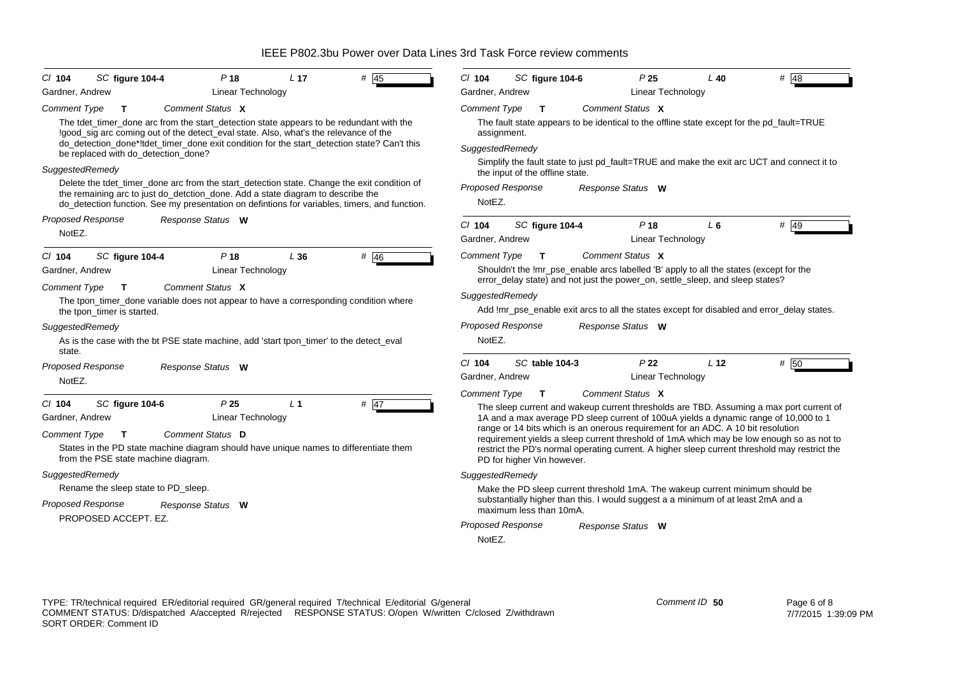| SC figure 104-4<br>P <sub>18</sub><br>$CI$ 104                                                                                                                                                                                                                                  | L 17           | $#$ 45 | $CI$ 104                                                                                                                      | SC figure 104-6            |  | P <sub>25</sub>          | $L$ 40                                                                                 | $#$ 48                                                                                        |  |
|---------------------------------------------------------------------------------------------------------------------------------------------------------------------------------------------------------------------------------------------------------------------------------|----------------|--------|-------------------------------------------------------------------------------------------------------------------------------|----------------------------|--|--------------------------|----------------------------------------------------------------------------------------|-----------------------------------------------------------------------------------------------|--|
| Gardner, Andrew<br><b>Linear Technology</b>                                                                                                                                                                                                                                     |                |        | Gardner, Andrew                                                                                                               |                            |  | Linear Technology        |                                                                                        |                                                                                               |  |
| Comment Type<br>Comment Status X<br>T.                                                                                                                                                                                                                                          |                |        | Comment Type                                                                                                                  | $\mathbf{T}$               |  | Comment Status X         |                                                                                        |                                                                                               |  |
| The tdet_timer_done arc from the start_detection state appears to be redundant with the<br>!good_sig arc coming out of the detect_eval state. Also, what's the relevance of the                                                                                                 |                |        | The fault state appears to be identical to the offline state except for the pd_fault=TRUE<br>assignment.<br>SuggestedRemedy   |                            |  |                          |                                                                                        |                                                                                               |  |
| do_detection_done*!tdet_timer_done exit condition for the start_detection state? Can't this<br>be replaced with do_detection_done?                                                                                                                                              |                |        |                                                                                                                               |                            |  |                          |                                                                                        |                                                                                               |  |
| SuggestedRemedy                                                                                                                                                                                                                                                                 |                |        | Simplify the fault state to just pd_fault=TRUE and make the exit arc UCT and connect it to<br>the input of the offline state. |                            |  |                          |                                                                                        |                                                                                               |  |
| Delete the tdet_timer_done arc from the start_detection state. Change the exit condition of<br>the remaining arc to just do_detction_done. Add a state diagram to describe the<br>do_detection function. See my presentation on defintions for variables, timers, and function. |                |        | <b>Proposed Response</b><br>NotEZ.                                                                                            |                            |  | Response Status W        |                                                                                        |                                                                                               |  |
| Proposed Response<br>Response Status W                                                                                                                                                                                                                                          |                |        | $CI$ 104                                                                                                                      | SC figure 104-4            |  | $P$ 18                   | $L_6$                                                                                  | $#$ 49                                                                                        |  |
| NotEZ.                                                                                                                                                                                                                                                                          |                |        | Gardner, Andrew                                                                                                               |                            |  | <b>Linear Technology</b> |                                                                                        |                                                                                               |  |
| SC figure 104-4<br>P <sub>18</sub><br>$Cl$ 104                                                                                                                                                                                                                                  | L36            | # $46$ | <b>Comment Type</b>                                                                                                           | $\mathbf{T}$               |  | Comment Status X         |                                                                                        |                                                                                               |  |
| Gardner, Andrew<br><b>Linear Technology</b>                                                                                                                                                                                                                                     |                |        |                                                                                                                               |                            |  |                          | Shouldn't the !mr_pse_enable arcs labelled 'B' apply to all the states (except for the |                                                                                               |  |
| Comment Status X<br><b>Comment Type</b><br>T                                                                                                                                                                                                                                    |                |        |                                                                                                                               |                            |  |                          | error_delay state) and not just the power_on, settle_sleep, and sleep states?          |                                                                                               |  |
| The tpon_timer_done variable does not appear to have a corresponding condition where<br>the tpon timer is started.                                                                                                                                                              |                |        | SuggestedRemedy<br>Add !mr_pse_enable exit arcs to all the states except for disabled and error_delay states.                 |                            |  |                          |                                                                                        |                                                                                               |  |
| SuggestedRemedy                                                                                                                                                                                                                                                                 |                |        | <b>Proposed Response</b>                                                                                                      |                            |  | Response Status W        |                                                                                        |                                                                                               |  |
| As is the case with the bt PSE state machine, add 'start tpon_timer' to the detect_eval<br>state.                                                                                                                                                                               |                |        | NotEZ.                                                                                                                        |                            |  |                          |                                                                                        |                                                                                               |  |
| <b>Proposed Response</b><br>Response Status W                                                                                                                                                                                                                                   |                |        | $Cl$ 104                                                                                                                      | SC table 104-3             |  | P <sub>22</sub>          | L <sub>12</sub>                                                                        | # 50                                                                                          |  |
| NotEZ.                                                                                                                                                                                                                                                                          |                |        | Gardner, Andrew                                                                                                               |                            |  | Linear Technology        |                                                                                        |                                                                                               |  |
|                                                                                                                                                                                                                                                                                 |                |        | <b>Comment Type</b>                                                                                                           | $\mathbf{T}$               |  | Comment Status X         |                                                                                        |                                                                                               |  |
| SC figure 104-6<br>P <sub>25</sub><br>C/ 104                                                                                                                                                                                                                                    | L <sub>1</sub> | $#$ 47 |                                                                                                                               |                            |  |                          |                                                                                        | The sleep current and wakeup current thresholds are TBD. Assuming a max port current of       |  |
| Gardner, Andrew<br><b>Linear Technology</b>                                                                                                                                                                                                                                     |                |        |                                                                                                                               |                            |  |                          | range or 14 bits which is an onerous requirement for an ADC. A 10 bit resolution       | 1A and a max average PD sleep current of 100uA yields a dynamic range of 10,000 to 1          |  |
| Comment Status D<br><b>Comment Type</b><br>$\mathbf{T}$                                                                                                                                                                                                                         |                |        |                                                                                                                               |                            |  |                          |                                                                                        | requirement yields a sleep current threshold of 1mA which may be low enough so as not to      |  |
| States in the PD state machine diagram should have unique names to differentiate them<br>from the PSE state machine diagram.                                                                                                                                                    |                |        |                                                                                                                               | PD for higher Vin however. |  |                          |                                                                                        | restrict the PD's normal operating current. A higher sleep current threshold may restrict the |  |
| SuggestedRemedy                                                                                                                                                                                                                                                                 |                |        | SuggestedRemedy                                                                                                               |                            |  |                          |                                                                                        |                                                                                               |  |
| Rename the sleep state to PD_sleep.                                                                                                                                                                                                                                             |                |        |                                                                                                                               |                            |  |                          | Make the PD sleep current threshold 1mA. The wakeup current minimum should be          |                                                                                               |  |
| Proposed Response<br>Response Status W<br>PROPOSED ACCEPT. EZ.                                                                                                                                                                                                                  |                |        |                                                                                                                               | maximum less than 10mA.    |  |                          | substantially higher than this. I would suggest a a minimum of at least 2mA and a      |                                                                                               |  |
|                                                                                                                                                                                                                                                                                 |                |        | Proposed Response                                                                                                             |                            |  | Response Status W        |                                                                                        |                                                                                               |  |
|                                                                                                                                                                                                                                                                                 |                |        | NotEZ.                                                                                                                        |                            |  |                          |                                                                                        |                                                                                               |  |
|                                                                                                                                                                                                                                                                                 |                |        |                                                                                                                               |                            |  |                          |                                                                                        |                                                                                               |  |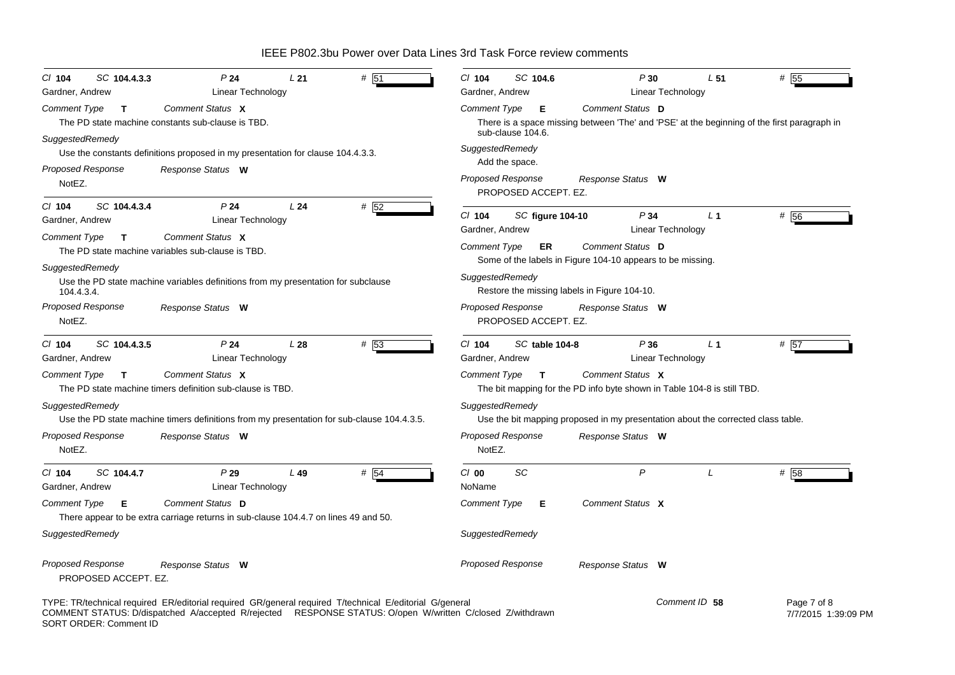| SC 104.4.3.3<br>$Cl$ 104                         | P <sub>24</sub><br>L21                                                                                                                                                                                               | # 51   | $Cl$ 104<br>SC 104.6                                   | P30                                                                                                             | L <sub>51</sub>                     | # 55                               |
|--------------------------------------------------|----------------------------------------------------------------------------------------------------------------------------------------------------------------------------------------------------------------------|--------|--------------------------------------------------------|-----------------------------------------------------------------------------------------------------------------|-------------------------------------|------------------------------------|
| Gardner, Andrew                                  | Linear Technology                                                                                                                                                                                                    |        | Gardner, Andrew                                        |                                                                                                                 | Linear Technology                   |                                    |
| <b>Comment Type</b><br>$\mathbf T$               | Comment Status X<br>The PD state machine constants sub-clause is TBD.                                                                                                                                                |        | Comment Type<br>Е                                      | Comment Status D<br>There is a space missing between 'The' and 'PSE' at the beginning of the first paragraph in |                                     |                                    |
| SuggestedRemedy<br><b>Proposed Response</b>      | Use the constants definitions proposed in my presentation for clause 104.4.3.3.<br>Response Status W                                                                                                                 |        | sub-clause 104.6.<br>SuggestedRemedy<br>Add the space. |                                                                                                                 |                                     |                                    |
| NotEZ.                                           |                                                                                                                                                                                                                      |        | <b>Proposed Response</b><br>PROPOSED ACCEPT. EZ.       | Response Status W                                                                                               |                                     |                                    |
| $Cl$ 104<br>SC 104.4.3.4<br>Gardner, Andrew      | P <sub>24</sub><br>L24<br>Linear Technology                                                                                                                                                                          | # 52   | $Cl$ 104                                               | P34<br><b>SC figure 104-10</b>                                                                                  | L <sub>1</sub>                      | # 56                               |
| <b>Comment Type</b><br>T                         | Comment Status X<br>The PD state machine variables sub-clause is TBD.                                                                                                                                                |        | Gardner, Andrew<br>Comment Type<br><b>ER</b>           | Comment Status D<br>Some of the labels in Figure 104-10 appears to be missing.                                  | Linear Technology                   |                                    |
| SuggestedRemedy<br>104.4.3.4.                    | Use the PD state machine variables definitions from my presentation for subclause                                                                                                                                    |        | SuggestedRemedy                                        | Restore the missing labels in Figure 104-10.                                                                    |                                     |                                    |
| Proposed Response<br>NotEZ.                      | Response Status W                                                                                                                                                                                                    |        | Proposed Response<br>PROPOSED ACCEPT. EZ.              | Response Status W                                                                                               |                                     |                                    |
| SC 104.4.3.5<br>CI 104<br>Gardner, Andrew        | P24<br>L28<br>Linear Technology                                                                                                                                                                                      | # 53   | $Cl$ 104<br>SC table 104-8<br>Gardner, Andrew          | P36                                                                                                             | L <sub>1</sub><br>Linear Technology | # 57                               |
| Comment Type<br>$\mathbf T$                      | Comment Status X<br>The PD state machine timers definition sub-clause is TBD.                                                                                                                                        |        | <b>Comment Type</b><br>$\mathbf{T}$                    | Comment Status X<br>The bit mapping for the PD info byte shown in Table 104-8 is still TBD.                     |                                     |                                    |
| SuggestedRemedy                                  | Use the PD state machine timers definitions from my presentation for sub-clause 104.4.3.5.                                                                                                                           |        | SuggestedRemedy                                        | Use the bit mapping proposed in my presentation about the corrected class table.                                |                                     |                                    |
| <b>Proposed Response</b><br>NotEZ.               | Response Status W                                                                                                                                                                                                    |        | <b>Proposed Response</b><br>NotEZ.                     | Response Status W                                                                                               |                                     |                                    |
| SC 104.4.7<br>CI 104<br>Gardner, Andrew          | P29<br>$L$ 49<br>Linear Technology                                                                                                                                                                                   | $#$ 54 | SC<br>$Cl$ 00<br>NoName                                | $\mathsf{P}$                                                                                                    | L                                   | # 58                               |
| <b>Comment Type</b><br>Е                         | Comment Status D<br>There appear to be extra carriage returns in sub-clause 104.4.7 on lines 49 and 50.                                                                                                              |        | Comment Type<br>Е                                      | Comment Status X                                                                                                |                                     |                                    |
| SuggestedRemedy                                  |                                                                                                                                                                                                                      |        | SuggestedRemedy                                        |                                                                                                                 |                                     |                                    |
| <b>Proposed Response</b><br>PROPOSED ACCEPT. EZ. | Response Status W                                                                                                                                                                                                    |        | Proposed Response                                      | Response Status W                                                                                               |                                     |                                    |
| SORT ORDER: Comment ID                           | TYPE: TR/technical required ER/editorial required GR/general required T/technical E/editorial G/general<br>COMMENT STATUS: D/dispatched A/accepted R/rejected RESPONSE STATUS: O/open W/written C/closed Z/withdrawn |        |                                                        |                                                                                                                 | Comment ID 58                       | Page 7 of 8<br>7/7/2015 1:39:09 PM |